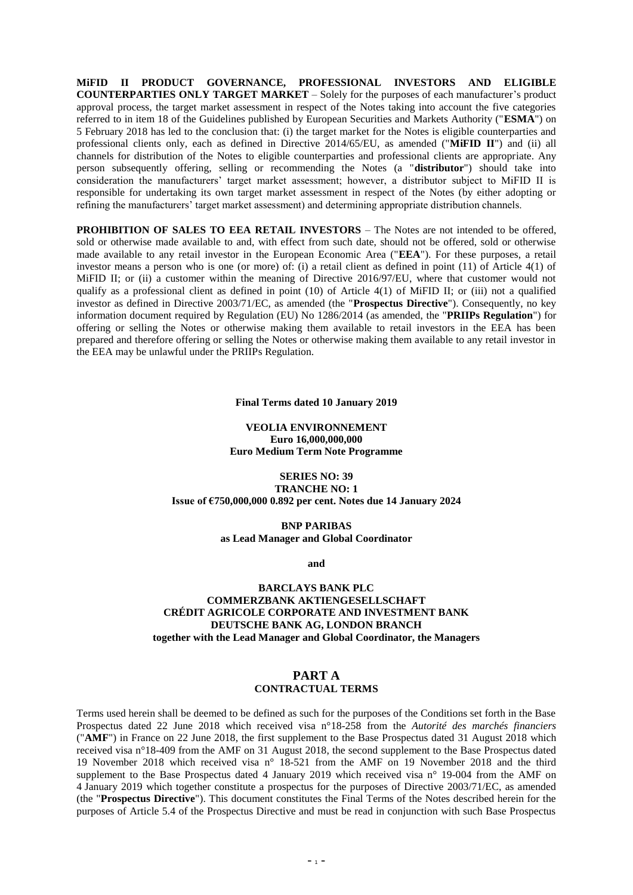**MiFID II PRODUCT GOVERNANCE, PROFESSIONAL INVESTORS AND ELIGIBLE COUNTERPARTIES ONLY TARGET MARKET** – Solely for the purposes of each manufacturer's product approval process, the target market assessment in respect of the Notes taking into account the five categories referred to in item 18 of the Guidelines published by European Securities and Markets Authority ("**ESMA**") on 5 February 2018 has led to the conclusion that: (i) the target market for the Notes is eligible counterparties and professional clients only, each as defined in Directive 2014/65/EU, as amended ("**MiFID II**") and (ii) all channels for distribution of the Notes to eligible counterparties and professional clients are appropriate. Any person subsequently offering, selling or recommending the Notes (a "**distributor**") should take into consideration the manufacturers' target market assessment; however, a distributor subject to MiFID II is responsible for undertaking its own target market assessment in respect of the Notes (by either adopting or refining the manufacturers' target market assessment) and determining appropriate distribution channels.

**PROHIBITION OF SALES TO EEA RETAIL INVESTORS – The Notes are not intended to be offered.** sold or otherwise made available to and, with effect from such date, should not be offered, sold or otherwise made available to any retail investor in the European Economic Area ("**EEA**"). For these purposes, a retail investor means a person who is one (or more) of: (i) a retail client as defined in point (11) of Article 4(1) of MiFID II; or (ii) a customer within the meaning of Directive 2016/97/EU, where that customer would not qualify as a professional client as defined in point (10) of Article 4(1) of MiFID II; or (iii) not a qualified investor as defined in Directive 2003/71/EC, as amended (the "**Prospectus Directive**"). Consequently, no key information document required by Regulation (EU) No 1286/2014 (as amended, the "**PRIIPs Regulation**") for offering or selling the Notes or otherwise making them available to retail investors in the EEA has been prepared and therefore offering or selling the Notes or otherwise making them available to any retail investor in the EEA may be unlawful under the PRIIPs Regulation.

**Final Terms dated 10 January 2019**

**VEOLIA ENVIRONNEMENT Euro 16,000,000,000 Euro Medium Term Note Programme**

**SERIES NO: 39 TRANCHE NO: 1 Issue of €750,000,000 0.892 per cent. Notes due 14 January 2024**

> **BNP PARIBAS as Lead Manager and Global Coordinator**

> > **and**

## **BARCLAYS BANK PLC COMMERZBANK AKTIENGESELLSCHAFT CRÉDIT AGRICOLE CORPORATE AND INVESTMENT BANK DEUTSCHE BANK AG, LONDON BRANCH together with the Lead Manager and Global Coordinator, the Managers**

# **PART A CONTRACTUAL TERMS**

Terms used herein shall be deemed to be defined as such for the purposes of the Conditions set forth in the Base Prospectus dated 22 June 2018 which received visa n°18-258 from the *Autorité des marchés financiers* ("**AMF**") in France on 22 June 2018, the first supplement to the Base Prospectus dated 31 August 2018 which received visa n°18-409 from the AMF on 31 August 2018, the second supplement to the Base Prospectus dated 19 November 2018 which received visa n° 18-521 from the AMF on 19 November 2018 and the third supplement to the Base Prospectus dated 4 January 2019 which received visa n° 19-004 from the AMF on 4 January 2019 which together constitute a prospectus for the purposes of Directive 2003/71/EC, as amended (the "**Prospectus Directive**"). This document constitutes the Final Terms of the Notes described herein for the purposes of Article 5.4 of the Prospectus Directive and must be read in conjunction with such Base Prospectus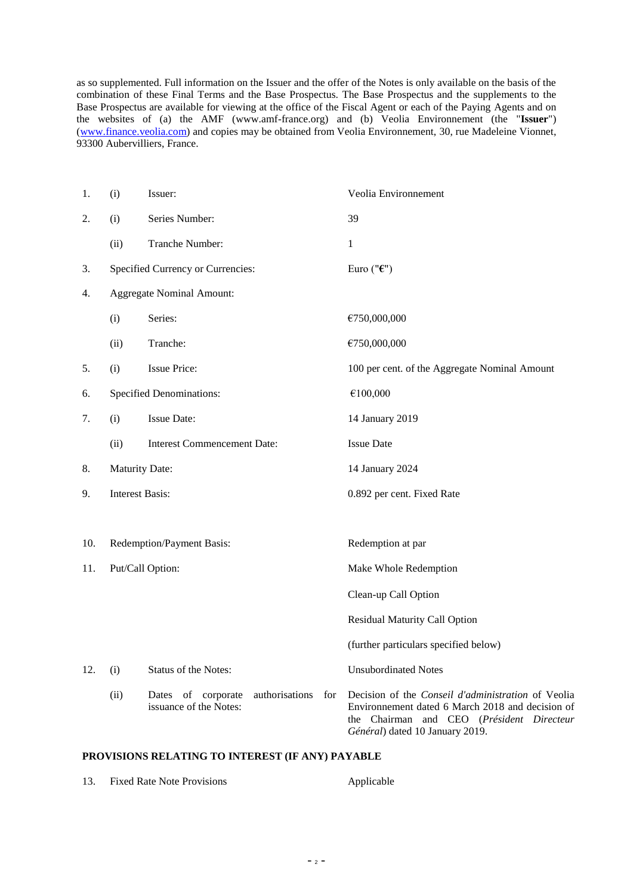as so supplemented. Full information on the Issuer and the offer of the Notes is only available on the basis of the combination of these Final Terms and the Base Prospectus. The Base Prospectus and the supplements to the Base Prospectus are available for viewing at the office of the Fiscal Agent or each of the Paying Agents and on the websites of (a) the AMF (www.amf-france.org) and (b) Veolia Environnement (the "**Issuer**") (www.finance.veolia.com) and copies may be obtained from Veolia Environnement, 30, rue Madeleine Vionnet, 93300 Aubervilliers, France.

| 1.  | (i)                             | Issuer:                                                               | Veolia Environnement                                                                                                                                                                             |
|-----|---------------------------------|-----------------------------------------------------------------------|--------------------------------------------------------------------------------------------------------------------------------------------------------------------------------------------------|
| 2.  | (i)                             | Series Number:                                                        | 39                                                                                                                                                                                               |
|     | (ii)                            | Tranche Number:                                                       | 1                                                                                                                                                                                                |
| 3.  |                                 | Specified Currency or Currencies:                                     | Euro (" $\epsilon$ ")                                                                                                                                                                            |
| 4.  |                                 | <b>Aggregate Nominal Amount:</b>                                      |                                                                                                                                                                                                  |
|     | (i)                             | Series:                                                               | €750,000,000                                                                                                                                                                                     |
|     | (ii)                            | Tranche:                                                              | €750,000,000                                                                                                                                                                                     |
| 5.  | (i)                             | <b>Issue Price:</b>                                                   | 100 per cent. of the Aggregate Nominal Amount                                                                                                                                                    |
| 6.  | <b>Specified Denominations:</b> |                                                                       | €100,000                                                                                                                                                                                         |
| 7.  | (i)                             | <b>Issue Date:</b>                                                    | 14 January 2019                                                                                                                                                                                  |
|     | (ii)                            | <b>Interest Commencement Date:</b>                                    | <b>Issue Date</b>                                                                                                                                                                                |
| 8.  | <b>Maturity Date:</b>           |                                                                       | 14 January 2024                                                                                                                                                                                  |
| 9.  | <b>Interest Basis:</b>          |                                                                       | 0.892 per cent. Fixed Rate                                                                                                                                                                       |
|     |                                 |                                                                       |                                                                                                                                                                                                  |
| 10. |                                 | Redemption/Payment Basis:                                             | Redemption at par                                                                                                                                                                                |
| 11. | Put/Call Option:                |                                                                       | Make Whole Redemption                                                                                                                                                                            |
|     |                                 |                                                                       | Clean-up Call Option                                                                                                                                                                             |
|     |                                 |                                                                       | <b>Residual Maturity Call Option</b>                                                                                                                                                             |
|     |                                 |                                                                       | (further particulars specified below)                                                                                                                                                            |
| 12. | (i)                             | Status of the Notes:                                                  | <b>Unsubordinated Notes</b>                                                                                                                                                                      |
|     | (ii)                            | Dates of corporate<br>authorisations<br>for<br>issuance of the Notes: | Decision of the <i>Conseil d'administration</i> of Veolia<br>Environmement dated 6 March 2018 and decision of<br>Chairman and CEO (Président Directeur<br>the<br>Général) dated 10 January 2019. |

# **PROVISIONS RELATING TO INTEREST (IF ANY) PAYABLE**

| 13. | <b>Fixed Rate Note Provisions</b> | Applicable |
|-----|-----------------------------------|------------|
|     |                                   |            |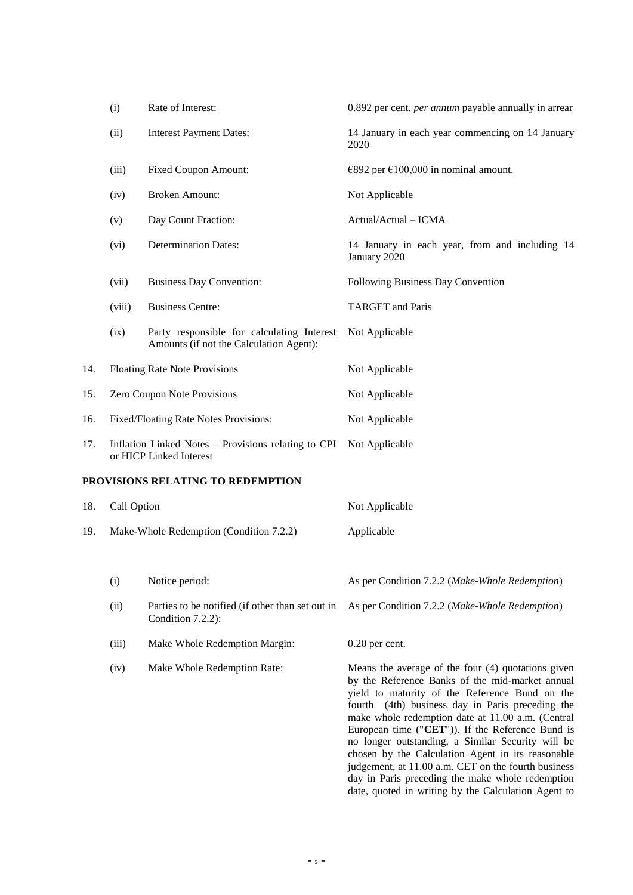|     | (i)                                                                            | Rate of Interest:                                                                     | 0.892 per cent. <i>per annum</i> payable annually in arrear                                                                                                                                                                                                                                                                                                                                                                                                                                                                                 |
|-----|--------------------------------------------------------------------------------|---------------------------------------------------------------------------------------|---------------------------------------------------------------------------------------------------------------------------------------------------------------------------------------------------------------------------------------------------------------------------------------------------------------------------------------------------------------------------------------------------------------------------------------------------------------------------------------------------------------------------------------------|
|     | (ii)                                                                           | <b>Interest Payment Dates:</b>                                                        | 14 January in each year commencing on 14 January<br>2020                                                                                                                                                                                                                                                                                                                                                                                                                                                                                    |
|     | (iii)                                                                          | <b>Fixed Coupon Amount:</b>                                                           | €892 per €100,000 in nominal amount.                                                                                                                                                                                                                                                                                                                                                                                                                                                                                                        |
|     | (iv)                                                                           | <b>Broken Amount:</b>                                                                 | Not Applicable                                                                                                                                                                                                                                                                                                                                                                                                                                                                                                                              |
|     | (v)                                                                            | Day Count Fraction:                                                                   | Actual/Actual - ICMA                                                                                                                                                                                                                                                                                                                                                                                                                                                                                                                        |
|     | (vi)                                                                           | <b>Determination Dates:</b>                                                           | 14 January in each year, from and including 14<br>January 2020                                                                                                                                                                                                                                                                                                                                                                                                                                                                              |
|     | (vii)                                                                          | <b>Business Day Convention:</b>                                                       | Following Business Day Convention                                                                                                                                                                                                                                                                                                                                                                                                                                                                                                           |
|     | (viii)                                                                         | <b>Business Centre:</b>                                                               | <b>TARGET</b> and Paris                                                                                                                                                                                                                                                                                                                                                                                                                                                                                                                     |
|     | (ix)                                                                           | Party responsible for calculating Interest<br>Amounts (if not the Calculation Agent): | Not Applicable                                                                                                                                                                                                                                                                                                                                                                                                                                                                                                                              |
| 14. | <b>Floating Rate Note Provisions</b>                                           |                                                                                       | Not Applicable                                                                                                                                                                                                                                                                                                                                                                                                                                                                                                                              |
| 15. | Zero Coupon Note Provisions                                                    |                                                                                       | Not Applicable                                                                                                                                                                                                                                                                                                                                                                                                                                                                                                                              |
| 16. | Fixed/Floating Rate Notes Provisions:                                          |                                                                                       | Not Applicable                                                                                                                                                                                                                                                                                                                                                                                                                                                                                                                              |
| 17. | Inflation Linked Notes – Provisions relating to CPI<br>or HICP Linked Interest |                                                                                       | Not Applicable                                                                                                                                                                                                                                                                                                                                                                                                                                                                                                                              |
|     |                                                                                | PROVISIONS RELATING TO REDEMPTION                                                     |                                                                                                                                                                                                                                                                                                                                                                                                                                                                                                                                             |
| 18. | Call Option                                                                    |                                                                                       | Not Applicable                                                                                                                                                                                                                                                                                                                                                                                                                                                                                                                              |
| 19. | Make-Whole Redemption (Condition 7.2.2)                                        |                                                                                       | Applicable                                                                                                                                                                                                                                                                                                                                                                                                                                                                                                                                  |
|     | (i)                                                                            | Notice period:                                                                        | As per Condition 7.2.2 (Make-Whole Redemption)                                                                                                                                                                                                                                                                                                                                                                                                                                                                                              |
|     | (ii)                                                                           | Parties to be notified (if other than set out in<br>Condition 7.2.2):                 | As per Condition 7.2.2 (Make-Whole Redemption)                                                                                                                                                                                                                                                                                                                                                                                                                                                                                              |
|     | (iii)                                                                          | Make Whole Redemption Margin:                                                         | $0.20$ per cent.                                                                                                                                                                                                                                                                                                                                                                                                                                                                                                                            |
|     | (iv)                                                                           | Make Whole Redemption Rate:                                                           | Means the average of the four $(4)$ quotations given<br>by the Reference Banks of the mid-market annual<br>yield to maturity of the Reference Bund on the<br>fourth (4th) business day in Paris preceding the<br>make whole redemption date at 11.00 a.m. (Central<br>European time ("CET")). If the Reference Bund is<br>no longer outstanding, a Similar Security will be<br>chosen by the Calculation Agent in its reasonable<br>judgement, at 11.00 a.m. CET on the fourth business<br>day in Paris preceding the make whole redemption |

date, quoted in writing by the Calculation Agent to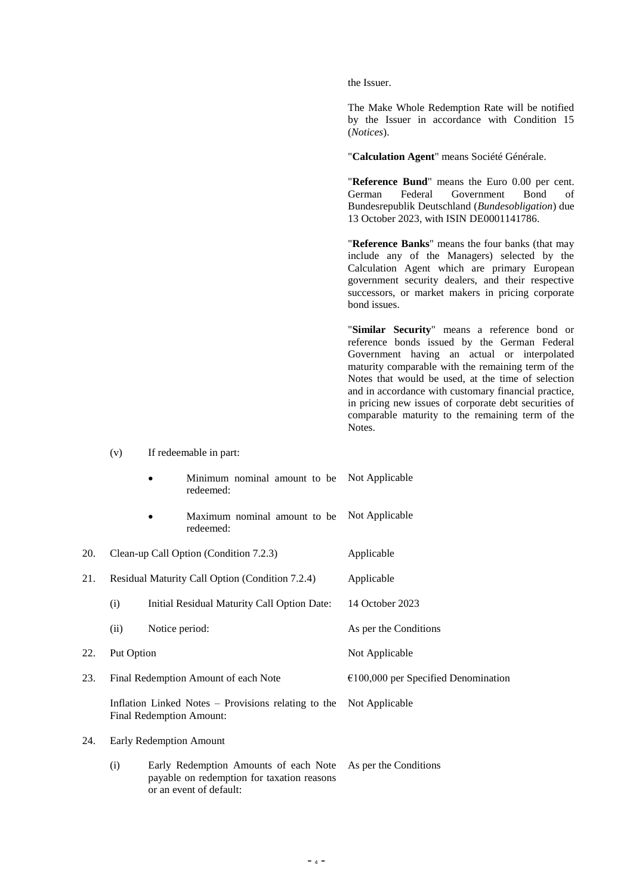the Issuer.

The Make Whole Redemption Rate will be notified by the Issuer in accordance with Condition 15 (*Notices*).

"**Calculation Agent**" means Société Générale.

"**Reference Bund**" means the Euro 0.00 per cent. German Federal Government Bond of Bundesrepublik Deutschland (*Bundesobligation*) due 13 October 2023, with ISIN DE0001141786.

"**Reference Banks**" means the four banks (that may include any of the Managers) selected by the Calculation Agent which are primary European government security dealers, and their respective successors, or market makers in pricing corporate bond issues.

"**Similar Security**" means a reference bond or reference bonds issued by the German Federal Government having an actual or interpolated maturity comparable with the remaining term of the Notes that would be used, at the time of selection and in accordance with customary financial practice, in pricing new issues of corporate debt securities of comparable maturity to the remaining term of the Notes.

(v) If redeemable in part:

|     |                                                 |                | Minimum nominal amount to be<br>redeemed:                                                                      | Not Applicable                        |
|-----|-------------------------------------------------|----------------|----------------------------------------------------------------------------------------------------------------|---------------------------------------|
|     |                                                 |                | Maximum nominal amount to be<br>redeemed:                                                                      | Not Applicable                        |
| 20. |                                                 |                | Clean-up Call Option (Condition 7.2.3)                                                                         | Applicable                            |
| 21. | Residual Maturity Call Option (Condition 7.2.4) |                |                                                                                                                | Applicable                            |
|     | (i)                                             |                | Initial Residual Maturity Call Option Date:                                                                    | 14 October 2023                       |
|     | (ii)                                            | Notice period: |                                                                                                                | As per the Conditions                 |
| 22. | Put Option                                      |                |                                                                                                                | Not Applicable                        |
| 23. | Final Redemption Amount of each Note            |                |                                                                                                                | $€100,000$ per Specified Denomination |
|     |                                                 |                | Inflation Linked Notes – Provisions relating to the<br><b>Final Redemption Amount:</b>                         | Not Applicable                        |
| 24. | <b>Early Redemption Amount</b>                  |                |                                                                                                                |                                       |
|     | (i)                                             |                | Early Redemption Amounts of each Note<br>payable on redemption for taxation reasons<br>or an event of default: | As per the Conditions                 |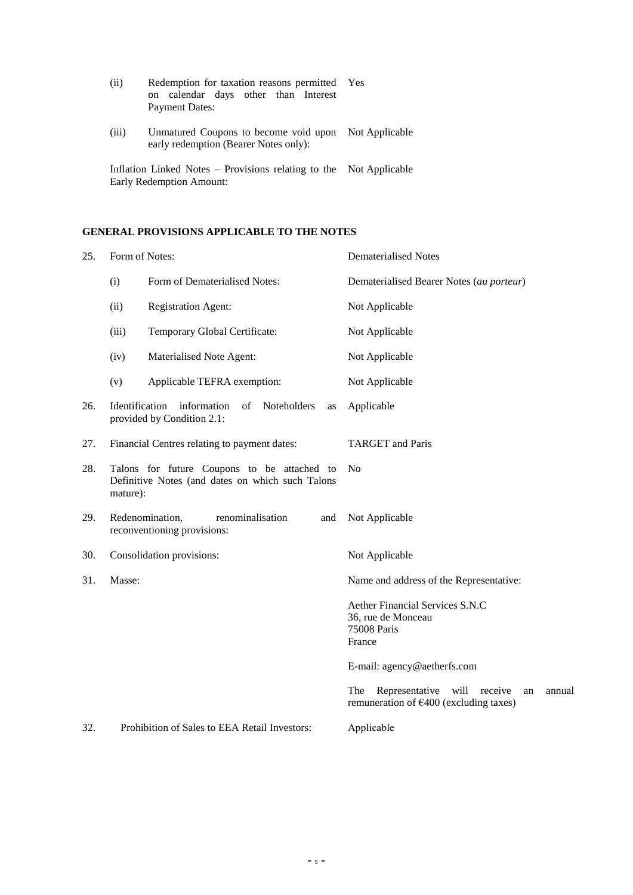| (i)                                                                                            | Redemption for taxation reasons permitted<br>on calendar days other than Interest<br><b>Payment Dates:</b> | Yes |
|------------------------------------------------------------------------------------------------|------------------------------------------------------------------------------------------------------------|-----|
| (iii)                                                                                          | Unmatured Coupons to become void upon Not Applicable<br>early redemption (Bearer Notes only):              |     |
| Inflation Linked Notes – Provisions relating to the Not Applicable<br>Early Redemption Amount: |                                                                                                            |     |

# **GENERAL PROVISIONS APPLICABLE TO THE NOTES**

| Form of Notes:<br>25. |                |                                                                                                 | <b>Dematerialised Notes</b>                                                                                  |
|-----------------------|----------------|-------------------------------------------------------------------------------------------------|--------------------------------------------------------------------------------------------------------------|
|                       | (i)            | Form of Dematerialised Notes:                                                                   | Dematerialised Bearer Notes (au porteur)                                                                     |
|                       | (ii)           | <b>Registration Agent:</b>                                                                      | Not Applicable                                                                                               |
|                       | (iii)          | Temporary Global Certificate:                                                                   | Not Applicable                                                                                               |
|                       | (iv)           | Materialised Note Agent:                                                                        | Not Applicable                                                                                               |
|                       | (v)            | Applicable TEFRA exemption:                                                                     | Not Applicable                                                                                               |
| 26.                   | Identification | information<br>of<br>Noteholders<br>as<br>provided by Condition 2.1:                            | Applicable                                                                                                   |
| 27.                   |                | Financial Centres relating to payment dates:                                                    | <b>TARGET</b> and Paris                                                                                      |
| 28.                   | mature):       | Talons for future Coupons to be attached to<br>Definitive Notes (and dates on which such Talons | No                                                                                                           |
| 29.                   |                | Redenomination,<br>renominalisation<br>and<br>reconventioning provisions:                       | Not Applicable                                                                                               |
| 30.                   |                | Consolidation provisions:                                                                       | Not Applicable                                                                                               |
| 31.                   | Masse:         |                                                                                                 | Name and address of the Representative:                                                                      |
|                       |                |                                                                                                 | Aether Financial Services S.N.C<br>36, rue de Monceau<br>75008 Paris<br>France                               |
|                       |                |                                                                                                 | E-mail: agency@aetherfs.com                                                                                  |
|                       |                |                                                                                                 | The<br>Representative<br>will<br>receive<br>annual<br>an<br>remuneration of $\epsilon$ 400 (excluding taxes) |
| 32.                   |                | Prohibition of Sales to EEA Retail Investors:                                                   | Applicable                                                                                                   |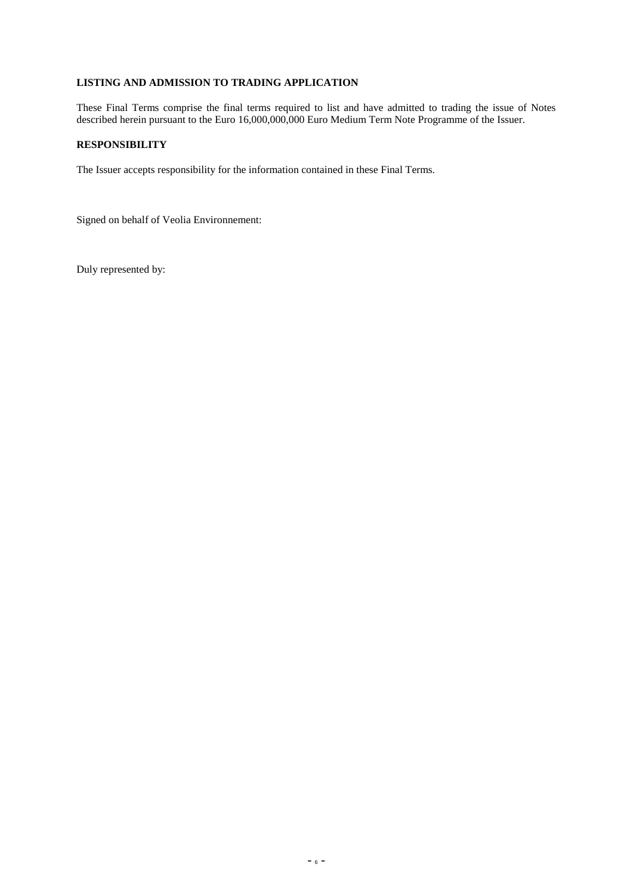# **LISTING AND ADMISSION TO TRADING APPLICATION**

These Final Terms comprise the final terms required to list and have admitted to trading the issue of Notes described herein pursuant to the Euro 16,000,000,000 Euro Medium Term Note Programme of the Issuer.

# **RESPONSIBILITY**

The Issuer accepts responsibility for the information contained in these Final Terms.

Signed on behalf of Veolia Environnement:

Duly represented by: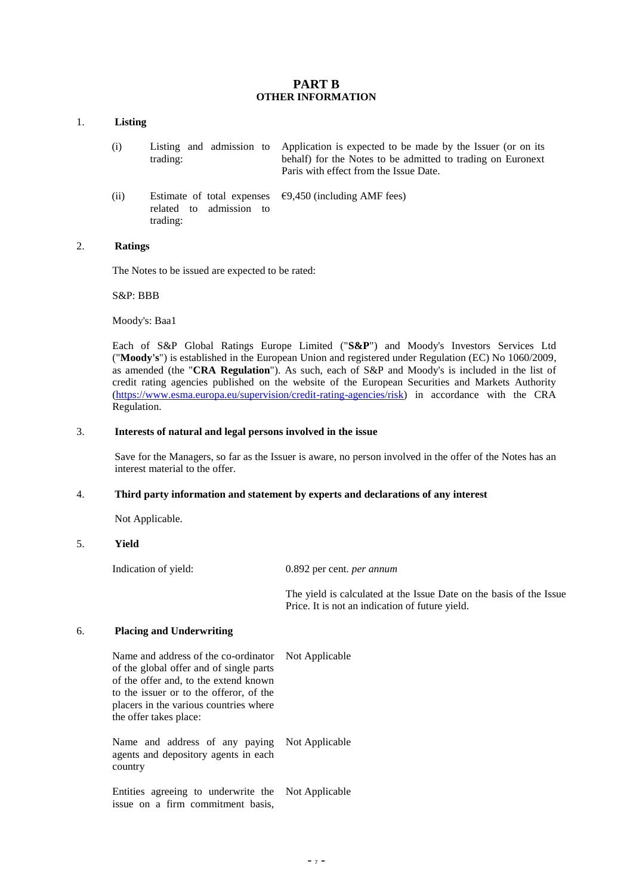## **PART B OTHER INFORMATION**

#### 1. **Listing**

- (i) Listing and admission to trading: Application is expected to be made by the Issuer (or on its behalf) for the Notes to be admitted to trading on Euronext Paris with effect from the Issue Date.
- (ii) Estimate of total expenses related to admission to trading:  $€9,450$  (including AMF fees)

## 2. **Ratings**

The Notes to be issued are expected to be rated:

S&P: BBB

Moody's: Baa1

Each of S&P Global Ratings Europe Limited ("**S&P**") and Moody's Investors Services Ltd ("**Moody's**") is established in the European Union and registered under Regulation (EC) No 1060/2009, as amended (the "**CRA Regulation**"). As such, each of S&P and Moody's is included in the list of credit rating agencies published on the website of the European Securities and Markets Authority (https://www.esma.europa.eu/supervision/credit-rating-agencies/risk) in accordance with the CRA Regulation.

#### 3. **Interests of natural and legal persons involved in the issue**

Save for the Managers, so far as the Issuer is aware, no person involved in the offer of the Notes has an interest material to the offer.

# 4. **Third party information and statement by experts and declarations of any interest**

Not Applicable.

# 5. **Yield**

Indication of yield: 0.892 per cent. *per annum*

Not Applicable

The yield is calculated at the Issue Date on the basis of the Issue Price. It is not an indication of future yield.

#### 6. **Placing and Underwriting**

Name and address of the co-ordinator of the global offer and of single parts of the offer and, to the extend known to the issuer or to the offeror, of the placers in the various countries where the offer takes place:

Name and address of any paying agents and depository agents in each country Not Applicable

Entities agreeing to underwrite the issue on a firm commitment basis, Not Applicable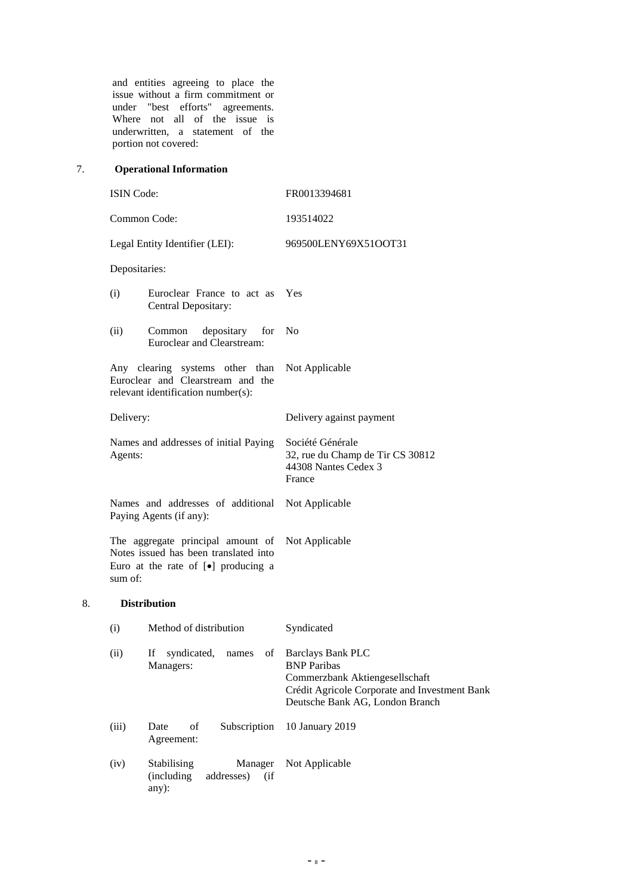and entities agreeing to place the issue without a firm commitment or under "best efforts" agreements. Where not all of the issue is underwritten, a statement of the portion not covered:

# 7. **Operational Information**

8. **Distribution**

| <b>ISIN Code:</b>                                                                                                                      |                                                                      | FR0013394681                                                                                                                                                         |
|----------------------------------------------------------------------------------------------------------------------------------------|----------------------------------------------------------------------|----------------------------------------------------------------------------------------------------------------------------------------------------------------------|
| Common Code:                                                                                                                           |                                                                      | 193514022                                                                                                                                                            |
|                                                                                                                                        | Legal Entity Identifier (LEI):                                       | 969500LENY69X51OOT31                                                                                                                                                 |
| Depositaries:                                                                                                                          |                                                                      |                                                                                                                                                                      |
| (i)                                                                                                                                    | Euroclear France to act as<br>Central Depositary:                    | Yes                                                                                                                                                                  |
| (ii)                                                                                                                                   | Common<br>depositary<br>for<br>Euroclear and Clearstream:            | No                                                                                                                                                                   |
| Any clearing systems other than<br>Euroclear and Clearstream and the<br>relevant identification number(s):                             |                                                                      | Not Applicable                                                                                                                                                       |
| Delivery:                                                                                                                              |                                                                      | Delivery against payment                                                                                                                                             |
| Names and addresses of initial Paying<br>Agents:                                                                                       |                                                                      | Société Générale<br>32, rue du Champ de Tir CS 30812<br>44308 Nantes Cedex 3<br>France                                                                               |
| Names and addresses of additional<br>Paying Agents (if any):                                                                           |                                                                      | Not Applicable                                                                                                                                                       |
| The aggregate principal amount of<br>Notes issued has been translated into<br>Euro at the rate of [ $\bullet$ ] producing a<br>sum of: |                                                                      | Not Applicable                                                                                                                                                       |
|                                                                                                                                        | <b>Distribution</b>                                                  |                                                                                                                                                                      |
| (i)                                                                                                                                    | Method of distribution                                               | Syndicated                                                                                                                                                           |
| (ii)                                                                                                                                   | If<br>syndicated,<br>οf<br>names<br>Managers:                        | <b>Barclays Bank PLC</b><br><b>BNP</b> Paribas<br>Commerzbank Aktiengesellschaft<br>Crédit Agricole Corporate and Investment Bank<br>Deutsche Bank AG, London Branch |
| (iii)                                                                                                                                  | Subscription<br>Date<br>οf<br>Agreement:                             | 10 January 2019                                                                                                                                                      |
| (iv)                                                                                                                                   | Stabilising<br>Manager<br>(including<br>addresses)<br>(i f)<br>any): | Not Applicable                                                                                                                                                       |